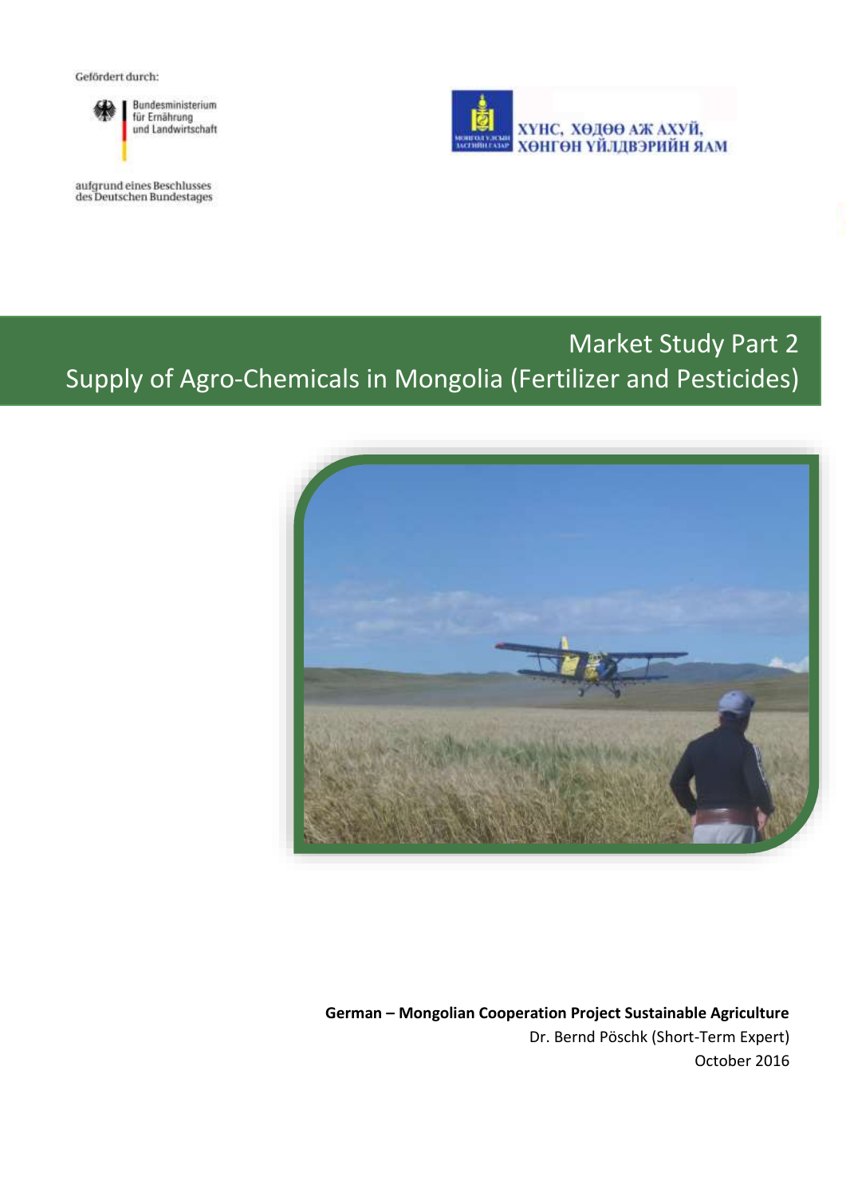Gefördert durch:



aufgrund eines Beschlusses<br>des Deutschen Bundestages



# Market Study Part 2 Supply of Agro-Chemicals in Mongolia (Fertilizer and Pesticides)



**German – Mongolian Cooperation Project Sustainable Agriculture** Dr. Bernd Pöschk (Short-Term Expert) October 2016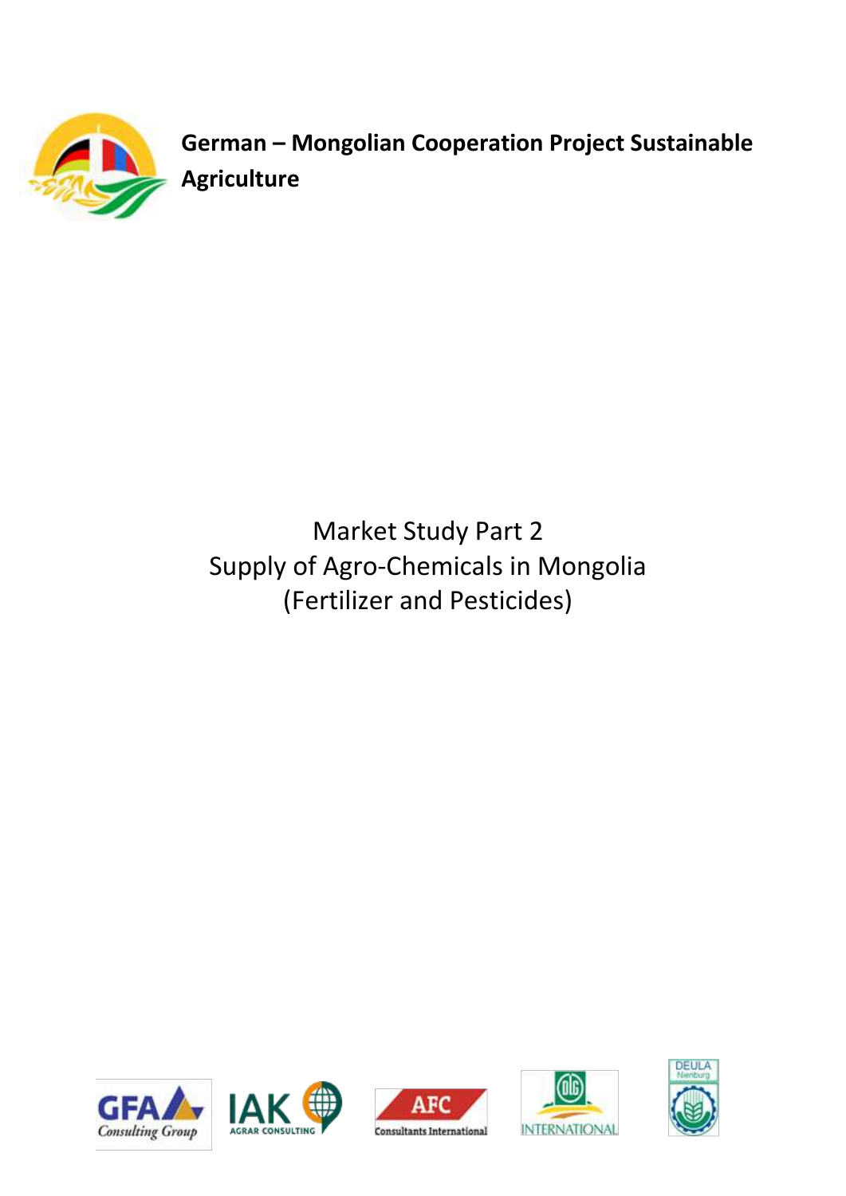

**German – Mongolian Cooperation Project Sustainable Agriculture**

# Market Study Part 2 Supply of Agro-Chemicals in Mongolia (Fertilizer and Pesticides)







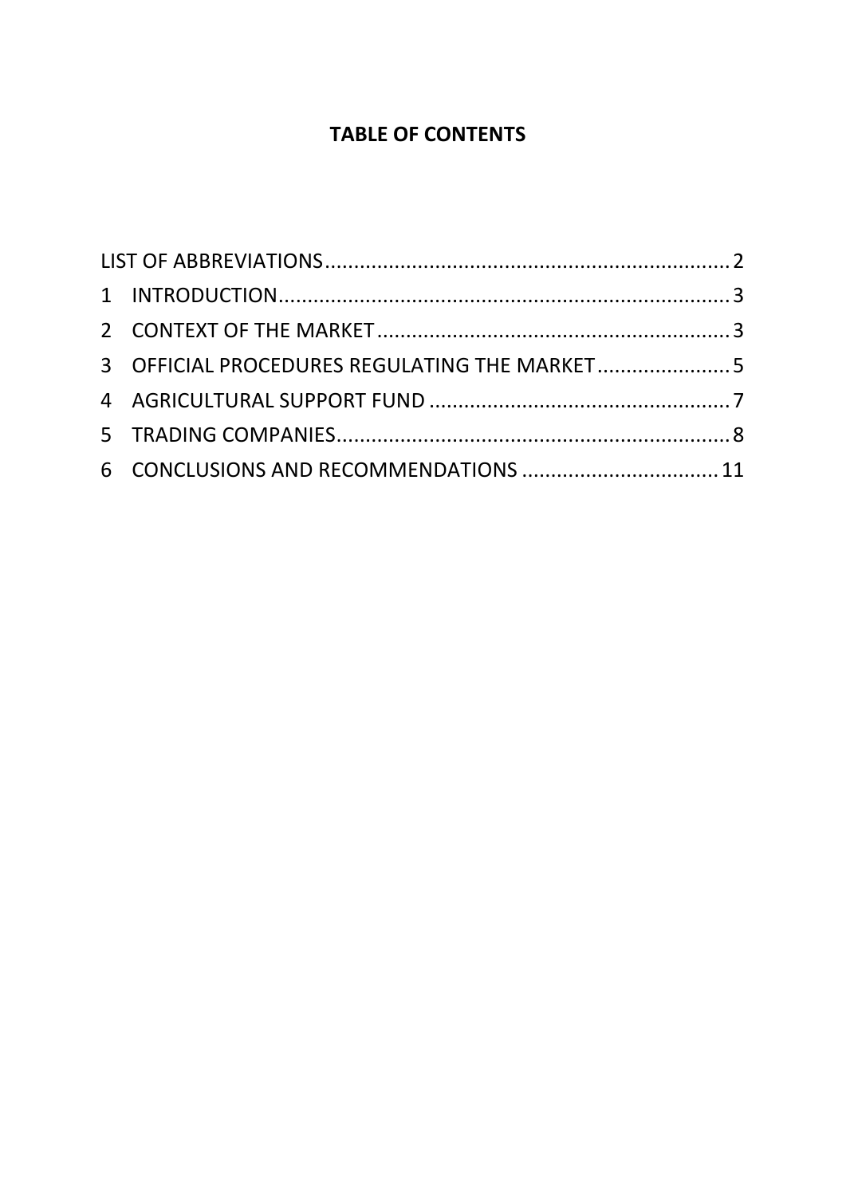# **TABLE OF CONTENTS**

| 3 OFFICIAL PROCEDURES REGULATING THE MARKET 5 |  |
|-----------------------------------------------|--|
|                                               |  |
|                                               |  |
| 6 CONCLUSIONS AND RECOMMENDATIONS  11         |  |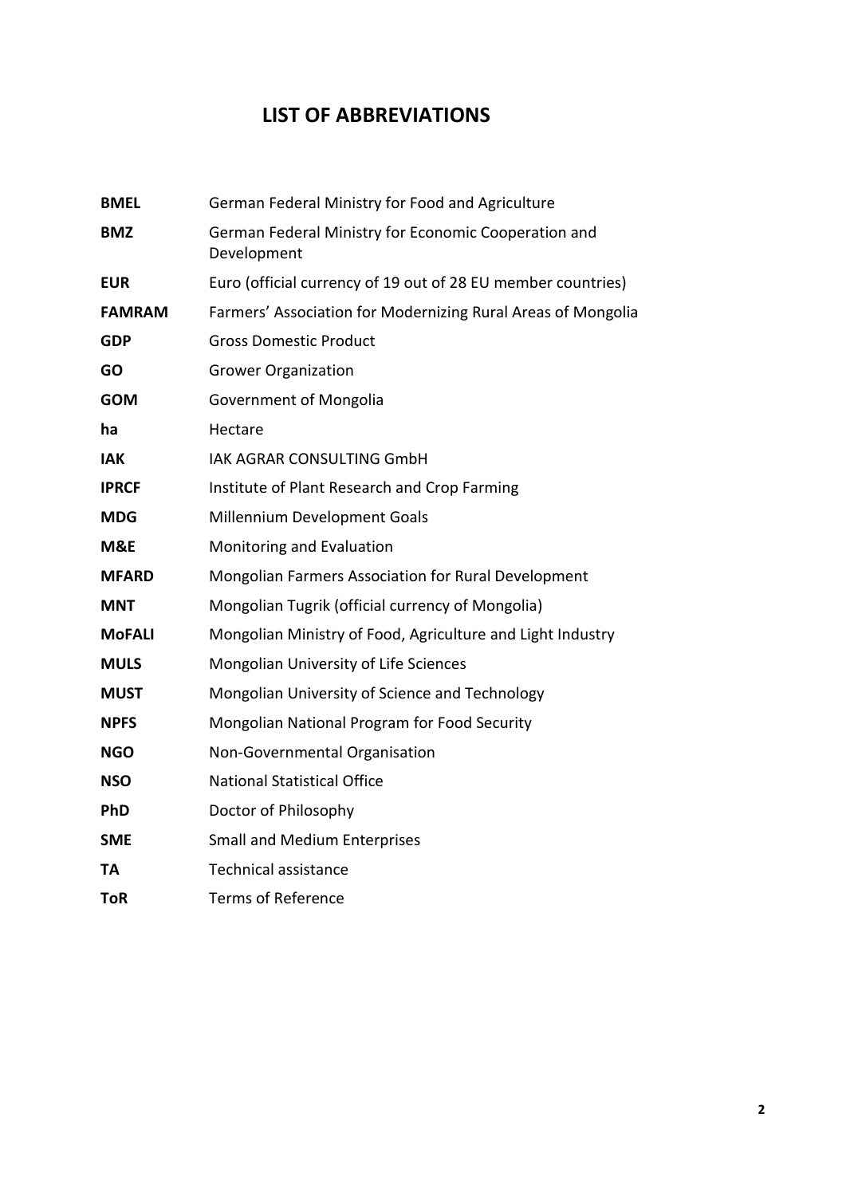## **LIST OF ABBREVIATIONS**

<span id="page-4-0"></span>

| <b>BMEL</b>   | German Federal Ministry for Food and Agriculture                    |
|---------------|---------------------------------------------------------------------|
| <b>BMZ</b>    | German Federal Ministry for Economic Cooperation and<br>Development |
| <b>EUR</b>    | Euro (official currency of 19 out of 28 EU member countries)        |
| <b>FAMRAM</b> | Farmers' Association for Modernizing Rural Areas of Mongolia        |
| <b>GDP</b>    | <b>Gross Domestic Product</b>                                       |
| GO            | <b>Grower Organization</b>                                          |
| <b>GOM</b>    | Government of Mongolia                                              |
| ha            | Hectare                                                             |
| IAK.          | IAK AGRAR CONSULTING GmbH                                           |
| <b>IPRCF</b>  | Institute of Plant Research and Crop Farming                        |
| <b>MDG</b>    | Millennium Development Goals                                        |
| M&E           | Monitoring and Evaluation                                           |
| <b>MFARD</b>  | Mongolian Farmers Association for Rural Development                 |
| <b>MNT</b>    | Mongolian Tugrik (official currency of Mongolia)                    |
| <b>MoFALI</b> | Mongolian Ministry of Food, Agriculture and Light Industry          |
| <b>MULS</b>   | Mongolian University of Life Sciences                               |
| <b>MUST</b>   | Mongolian University of Science and Technology                      |
| <b>NPFS</b>   | Mongolian National Program for Food Security                        |
| <b>NGO</b>    | Non-Governmental Organisation                                       |
| <b>NSO</b>    | <b>National Statistical Office</b>                                  |
| PhD           | Doctor of Philosophy                                                |
| <b>SME</b>    | <b>Small and Medium Enterprises</b>                                 |
| <b>TA</b>     | <b>Technical assistance</b>                                         |
| <b>ToR</b>    | <b>Terms of Reference</b>                                           |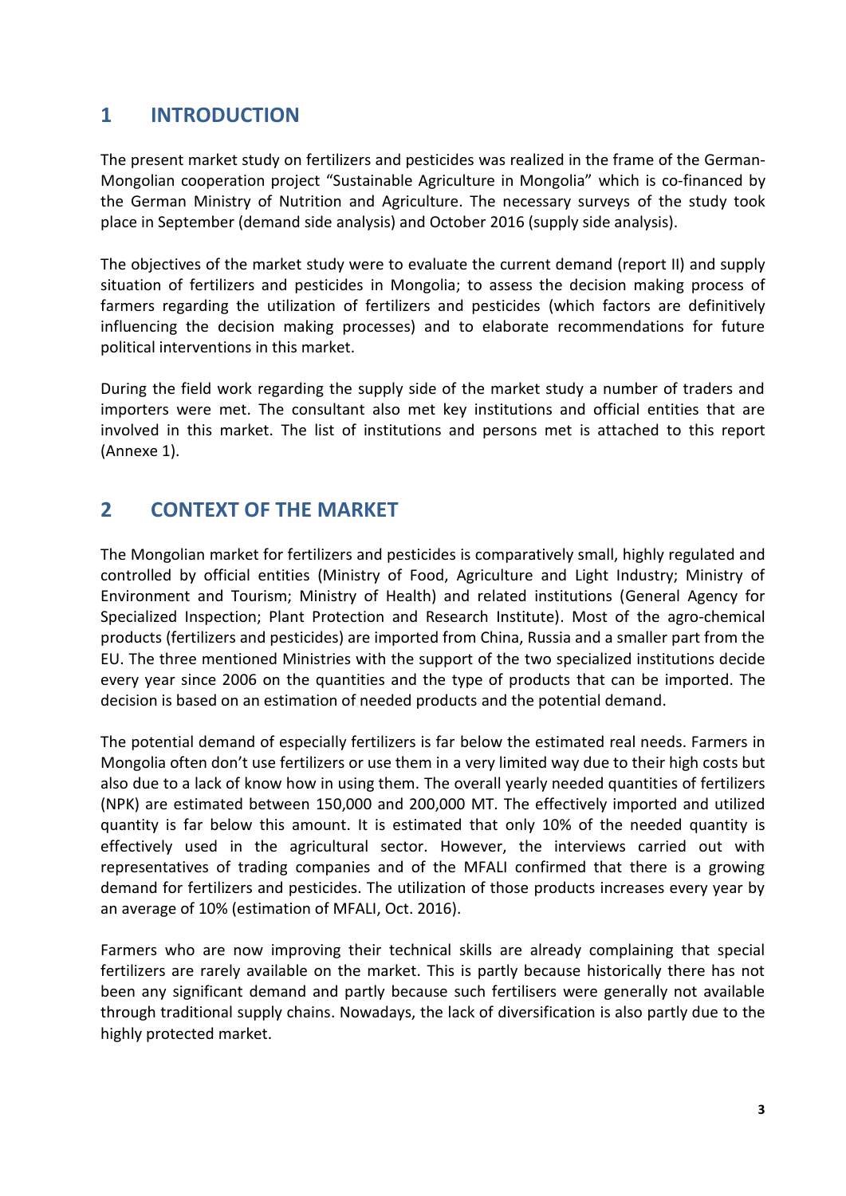## <span id="page-5-0"></span>**1 INTRODUCTION**

The present market study on fertilizers and pesticides was realized in the frame of the German-Mongolian cooperation project "Sustainable Agriculture in Mongolia" which is co-financed by the German Ministry of Nutrition and Agriculture. The necessary surveys of the study took place in September (demand side analysis) and October 2016 (supply side analysis).

The objectives of the market study were to evaluate the current demand (report II) and supply situation of fertilizers and pesticides in Mongolia; to assess the decision making process of farmers regarding the utilization of fertilizers and pesticides (which factors are definitively influencing the decision making processes) and to elaborate recommendations for future political interventions in this market.

During the field work regarding the supply side of the market study a number of traders and importers were met. The consultant also met key institutions and official entities that are involved in this market. The list of institutions and persons met is attached to this report (Annexe 1).

## <span id="page-5-1"></span>**2 CONTEXT OF THE MARKET**

The Mongolian market for fertilizers and pesticides is comparatively small, highly regulated and controlled by official entities (Ministry of Food, Agriculture and Light Industry; Ministry of Environment and Tourism; Ministry of Health) and related institutions (General Agency for Specialized Inspection; Plant Protection and Research Institute). Most of the agro-chemical products (fertilizers and pesticides) are imported from China, Russia and a smaller part from the EU. The three mentioned Ministries with the support of the two specialized institutions decide every year since 2006 on the quantities and the type of products that can be imported. The decision is based on an estimation of needed products and the potential demand.

The potential demand of especially fertilizers is far below the estimated real needs. Farmers in Mongolia often don't use fertilizers or use them in a very limited way due to their high costs but also due to a lack of know how in using them. The overall yearly needed quantities of fertilizers (NPK) are estimated between 150,000 and 200,000 MT. The effectively imported and utilized quantity is far below this amount. It is estimated that only 10% of the needed quantity is effectively used in the agricultural sector. However, the interviews carried out with representatives of trading companies and of the MFALI confirmed that there is a growing demand for fertilizers and pesticides. The utilization of those products increases every year by an average of 10% (estimation of MFALI, Oct. 2016).

Farmers who are now improving their technical skills are already complaining that special fertilizers are rarely available on the market. This is partly because historically there has not been any significant demand and partly because such fertilisers were generally not available through traditional supply chains. Nowadays, the lack of diversification is also partly due to the highly protected market.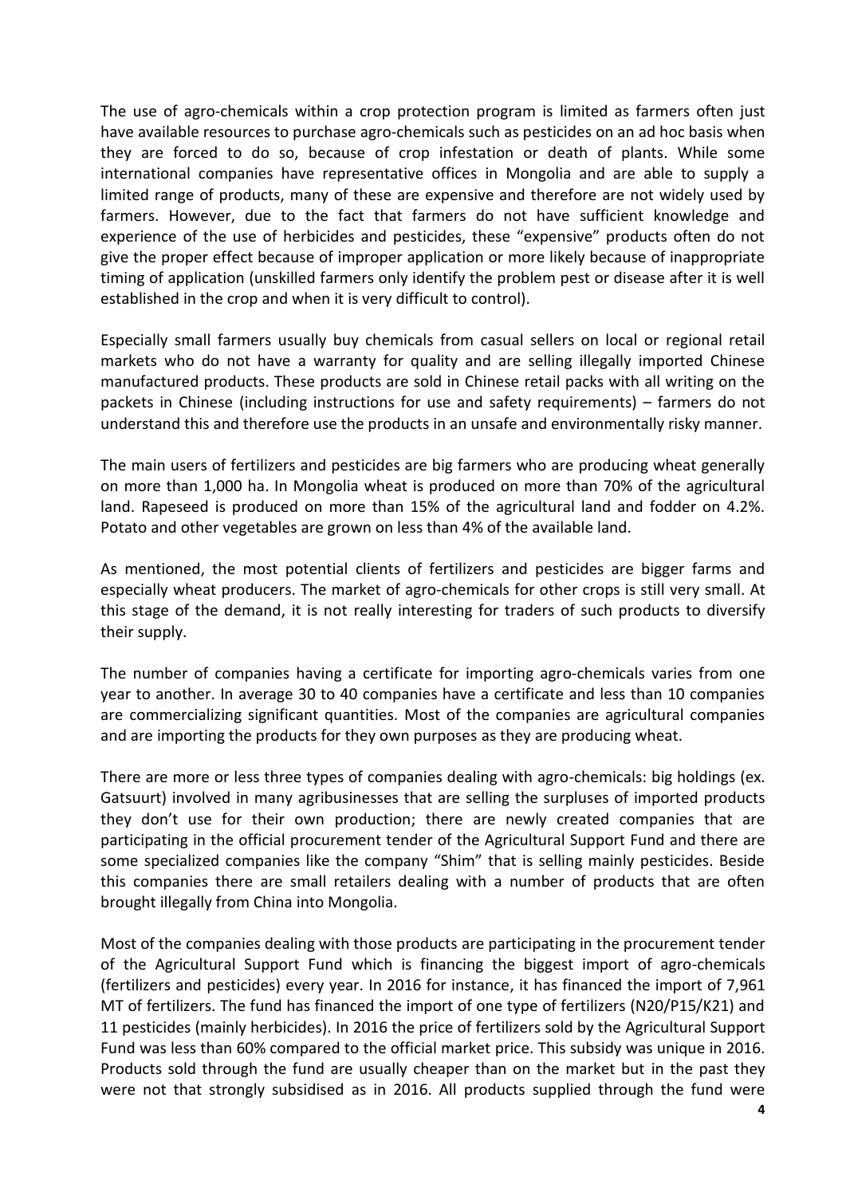The use of agro-chemicals within a crop protection program is limited as farmers often just have available resources to purchase agro-chemicals such as pesticides on an ad hoc basis when they are forced to do so, because of crop infestation or death of plants. While some international companies have representative offices in Mongolia and are able to supply a limited range of products, many of these are expensive and therefore are not widely used by farmers. However, due to the fact that farmers do not have sufficient knowledge and experience of the use of herbicides and pesticides, these "expensive" products often do not give the proper effect because of improper application or more likely because of inappropriate timing of application (unskilled farmers only identify the problem pest or disease after it is well established in the crop and when it is very difficult to control).

Especially small farmers usually buy chemicals from casual sellers on local or regional retail markets who do not have a warranty for quality and are selling illegally imported Chinese manufactured products. These products are sold in Chinese retail packs with all writing on the packets in Chinese (including instructions for use and safety requirements) – farmers do not understand this and therefore use the products in an unsafe and environmentally risky manner.

The main users of fertilizers and pesticides are big farmers who are producing wheat generally on more than 1,000 ha. In Mongolia wheat is produced on more than 70% of the agricultural land. Rapeseed is produced on more than 15% of the agricultural land and fodder on 4.2%. Potato and other vegetables are grown on less than 4% of the available land.

As mentioned, the most potential clients of fertilizers and pesticides are bigger farms and especially wheat producers. The market of agro-chemicals for other crops is still very small. At this stage of the demand, it is not really interesting for traders of such products to diversify their supply.

The number of companies having a certificate for importing agro-chemicals varies from one year to another. In average 30 to 40 companies have a certificate and less than 10 companies are commercializing significant quantities. Most of the companies are agricultural companies and are importing the products for they own purposes as they are producing wheat.

There are more or less three types of companies dealing with agro-chemicals: big holdings (ex. Gatsuurt) involved in many agribusinesses that are selling the surpluses of imported products they don't use for their own production; there are newly created companies that are participating in the official procurement tender of the Agricultural Support Fund and there are some specialized companies like the company "Shim" that is selling mainly pesticides. Beside this companies there are small retailers dealing with a number of products that are often brought illegally from China into Mongolia.

Most of the companies dealing with those products are participating in the procurement tender of the Agricultural Support Fund which is financing the biggest import of agro-chemicals (fertilizers and pesticides) every year. In 2016 for instance, it has financed the import of 7,961 MT of fertilizers. The fund has financed the import of one type of fertilizers (N20/P15/K21) and 11 pesticides (mainly herbicides). In 2016 the price of fertilizers sold by the Agricultural Support Fund was less than 60% compared to the official market price. This subsidy was unique in 2016. Products sold through the fund are usually cheaper than on the market but in the past they were not that strongly subsidised as in 2016. All products supplied through the fund were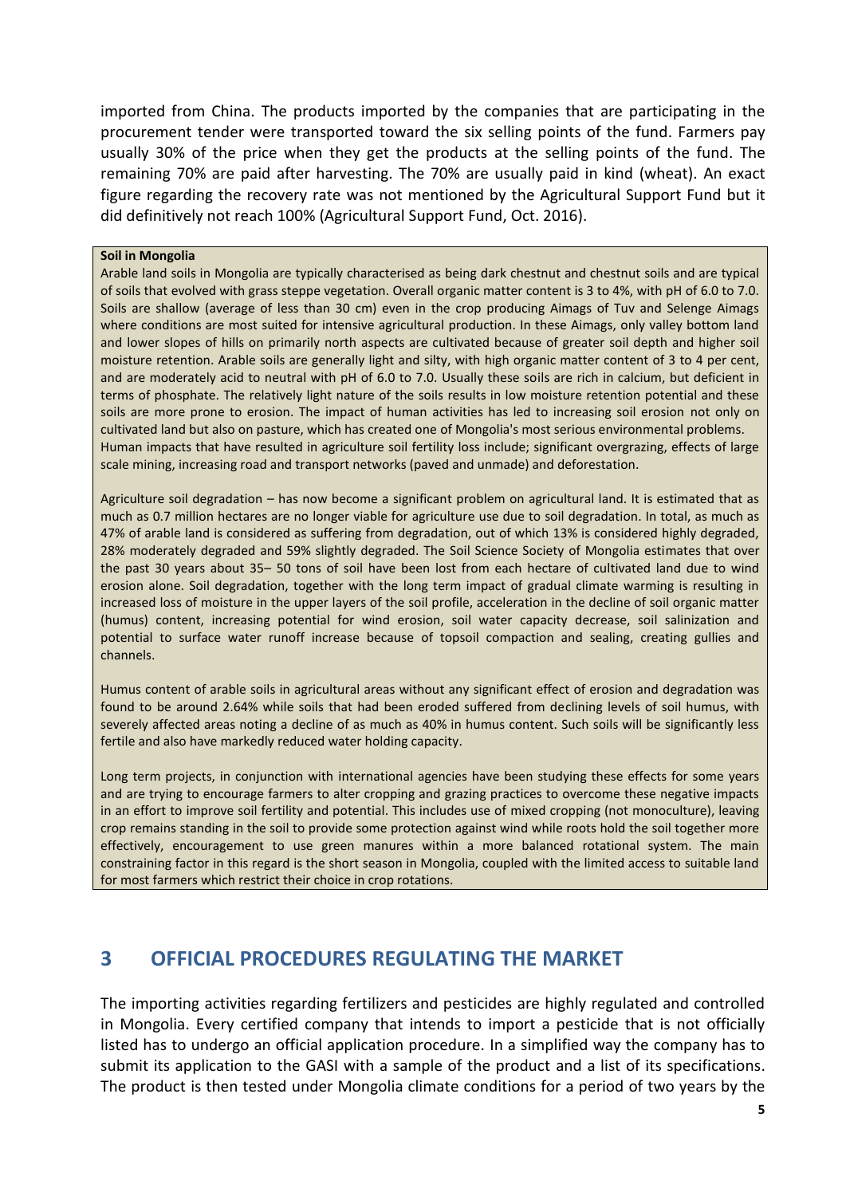imported from China. The products imported by the companies that are participating in the procurement tender were transported toward the six selling points of the fund. Farmers pay usually 30% of the price when they get the products at the selling points of the fund. The remaining 70% are paid after harvesting. The 70% are usually paid in kind (wheat). An exact figure regarding the recovery rate was not mentioned by the Agricultural Support Fund but it did definitively not reach 100% (Agricultural Support Fund, Oct. 2016).

#### **Soil in Mongolia**

Arable land soils in Mongolia are typically characterised as being dark chestnut and chestnut soils and are typical of soils that evolved with grass steppe vegetation. Overall organic matter content is 3 to 4%, with pH of 6.0 to 7.0. Soils are shallow (average of less than 30 cm) even in the crop producing Aimags of Tuv and Selenge Aimags where conditions are most suited for intensive agricultural production. In these Aimags, only valley bottom land and lower slopes of hills on primarily north aspects are cultivated because of greater soil depth and higher soil moisture retention. Arable soils are generally light and silty, with high organic matter content of 3 to 4 per cent, and are moderately acid to neutral with pH of 6.0 to 7.0. Usually these soils are rich in calcium, but deficient in terms of phosphate. The relatively light nature of the soils results in low moisture retention potential and these soils are more prone to erosion. The impact of human activities has led to increasing soil erosion not only on cultivated land but also on pasture, which has created one of Mongolia's most serious environmental problems. Human impacts that have resulted in agriculture soil fertility loss include; significant overgrazing, effects of large scale mining, increasing road and transport networks (paved and unmade) and deforestation.

Agriculture soil degradation – has now become a significant problem on agricultural land. It is estimated that as much as 0.7 million hectares are no longer viable for agriculture use due to soil degradation. In total, as much as 47% of arable land is considered as suffering from degradation, out of which 13% is considered highly degraded, 28% moderately degraded and 59% slightly degraded. The Soil Science Society of Mongolia estimates that over the past 30 years about 35– 50 tons of soil have been lost from each hectare of cultivated land due to wind erosion alone. Soil degradation, together with the long term impact of gradual climate warming is resulting in increased loss of moisture in the upper layers of the soil profile, acceleration in the decline of soil organic matter (humus) content, increasing potential for wind erosion, soil water capacity decrease, soil salinization and potential to surface water runoff increase because of topsoil compaction and sealing, creating gullies and channels.

Humus content of arable soils in agricultural areas without any significant effect of erosion and degradation was found to be around 2.64% while soils that had been eroded suffered from declining levels of soil humus, with severely affected areas noting a decline of as much as 40% in humus content. Such soils will be significantly less fertile and also have markedly reduced water holding capacity.

Long term projects, in conjunction with international agencies have been studying these effects for some years and are trying to encourage farmers to alter cropping and grazing practices to overcome these negative impacts in an effort to improve soil fertility and potential. This includes use of mixed cropping (not monoculture), leaving crop remains standing in the soil to provide some protection against wind while roots hold the soil together more effectively, encouragement to use green manures within a more balanced rotational system. The main constraining factor in this regard is the short season in Mongolia, coupled with the limited access to suitable land for most farmers which restrict their choice in crop rotations.

#### <span id="page-7-0"></span>**3 OFFICIAL PROCEDURES REGULATING THE MARKET**

The importing activities regarding fertilizers and pesticides are highly regulated and controlled in Mongolia. Every certified company that intends to import a pesticide that is not officially listed has to undergo an official application procedure. In a simplified way the company has to submit its application to the GASI with a sample of the product and a list of its specifications. The product is then tested under Mongolia climate conditions for a period of two years by the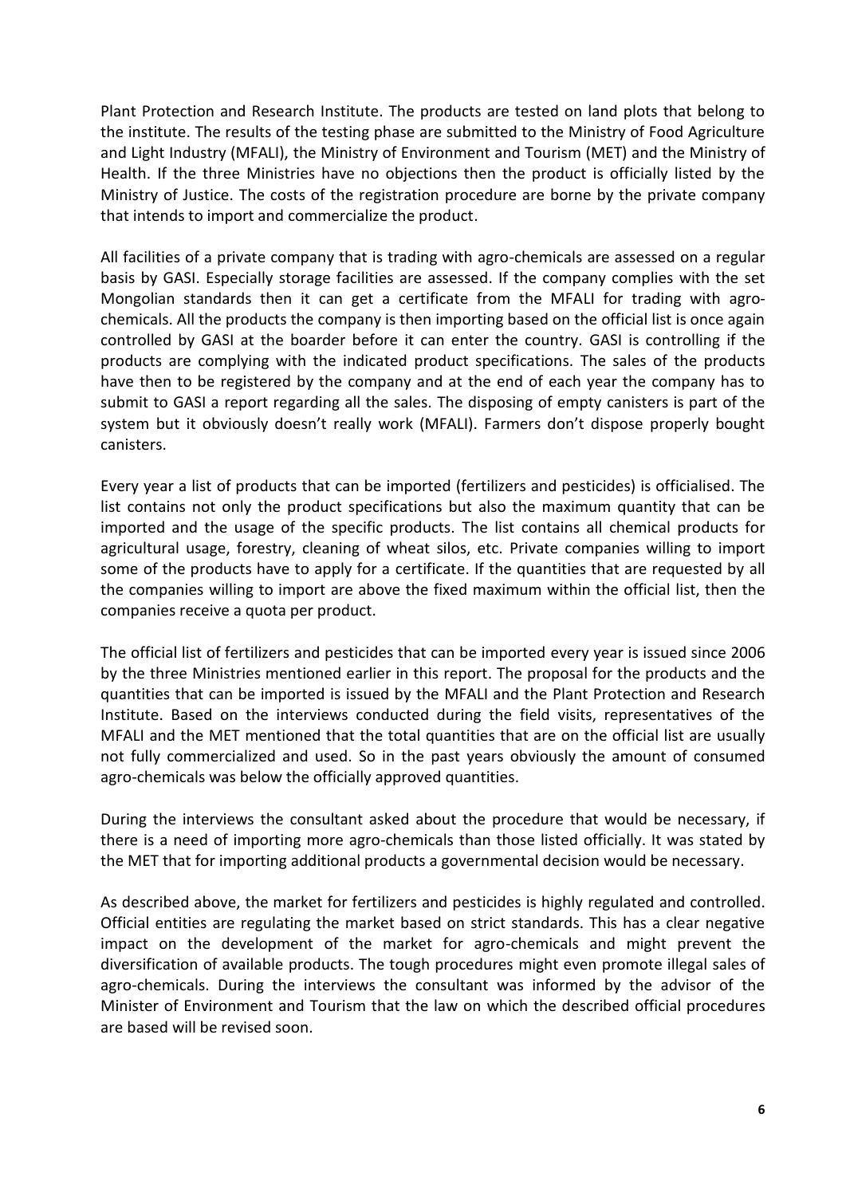Plant Protection and Research Institute. The products are tested on land plots that belong to the institute. The results of the testing phase are submitted to the Ministry of Food Agriculture and Light Industry (MFALI), the Ministry of Environment and Tourism (MET) and the Ministry of Health. If the three Ministries have no objections then the product is officially listed by the Ministry of Justice. The costs of the registration procedure are borne by the private company that intends to import and commercialize the product.

All facilities of a private company that is trading with agro-chemicals are assessed on a regular basis by GASI. Especially storage facilities are assessed. If the company complies with the set Mongolian standards then it can get a certificate from the MFALI for trading with agrochemicals. All the products the company is then importing based on the official list is once again controlled by GASI at the boarder before it can enter the country. GASI is controlling if the products are complying with the indicated product specifications. The sales of the products have then to be registered by the company and at the end of each year the company has to submit to GASI a report regarding all the sales. The disposing of empty canisters is part of the system but it obviously doesn't really work (MFALI). Farmers don't dispose properly bought canisters.

Every year a list of products that can be imported (fertilizers and pesticides) is officialised. The list contains not only the product specifications but also the maximum quantity that can be imported and the usage of the specific products. The list contains all chemical products for agricultural usage, forestry, cleaning of wheat silos, etc. Private companies willing to import some of the products have to apply for a certificate. If the quantities that are requested by all the companies willing to import are above the fixed maximum within the official list, then the companies receive a quota per product.

The official list of fertilizers and pesticides that can be imported every year is issued since 2006 by the three Ministries mentioned earlier in this report. The proposal for the products and the quantities that can be imported is issued by the MFALI and the Plant Protection and Research Institute. Based on the interviews conducted during the field visits, representatives of the MFALI and the MET mentioned that the total quantities that are on the official list are usually not fully commercialized and used. So in the past years obviously the amount of consumed agro-chemicals was below the officially approved quantities.

During the interviews the consultant asked about the procedure that would be necessary, if there is a need of importing more agro-chemicals than those listed officially. It was stated by the MET that for importing additional products a governmental decision would be necessary.

As described above, the market for fertilizers and pesticides is highly regulated and controlled. Official entities are regulating the market based on strict standards. This has a clear negative impact on the development of the market for agro-chemicals and might prevent the diversification of available products. The tough procedures might even promote illegal sales of agro-chemicals. During the interviews the consultant was informed by the advisor of the Minister of Environment and Tourism that the law on which the described official procedures are based will be revised soon.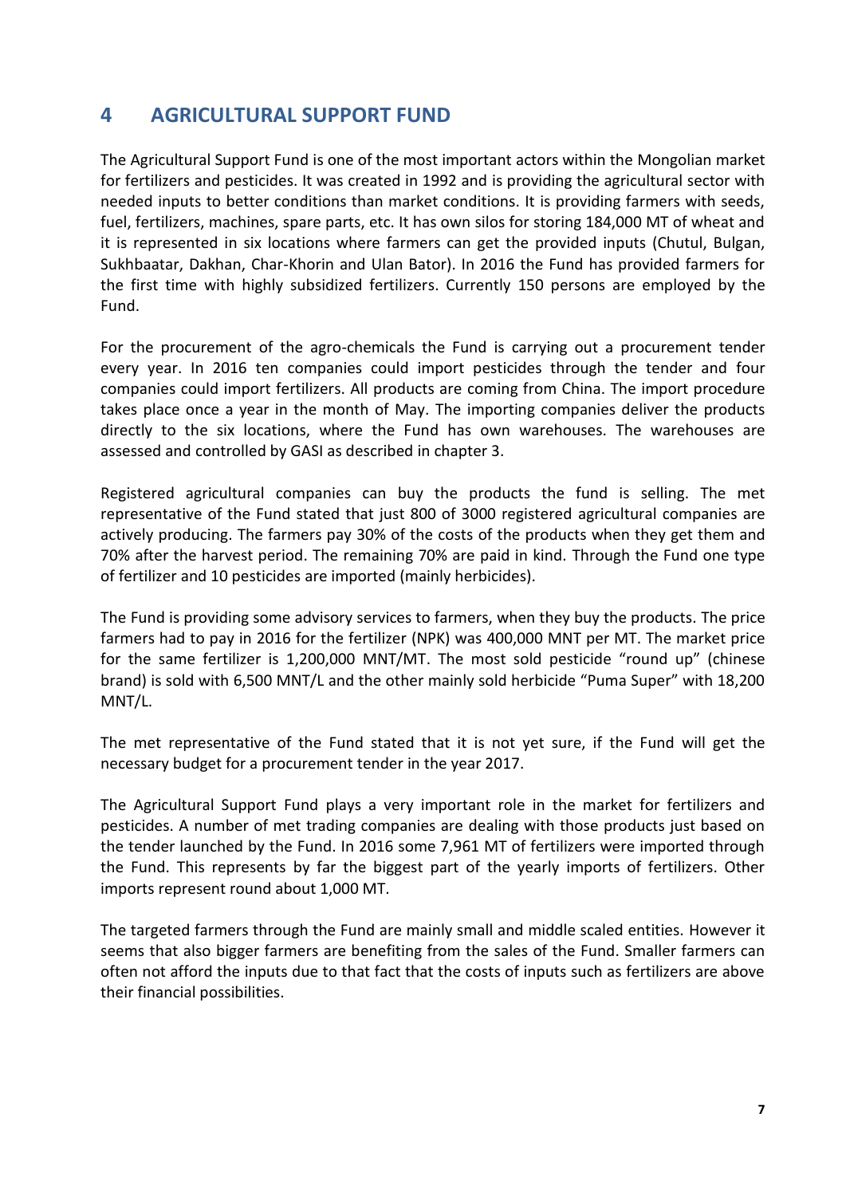## <span id="page-9-0"></span>**4 AGRICULTURAL SUPPORT FUND**

The Agricultural Support Fund is one of the most important actors within the Mongolian market for fertilizers and pesticides. It was created in 1992 and is providing the agricultural sector with needed inputs to better conditions than market conditions. It is providing farmers with seeds, fuel, fertilizers, machines, spare parts, etc. It has own silos for storing 184,000 MT of wheat and it is represented in six locations where farmers can get the provided inputs (Chutul, Bulgan, Sukhbaatar, Dakhan, Char-Khorin and Ulan Bator). In 2016 the Fund has provided farmers for the first time with highly subsidized fertilizers. Currently 150 persons are employed by the Fund.

For the procurement of the agro-chemicals the Fund is carrying out a procurement tender every year. In 2016 ten companies could import pesticides through the tender and four companies could import fertilizers. All products are coming from China. The import procedure takes place once a year in the month of May. The importing companies deliver the products directly to the six locations, where the Fund has own warehouses. The warehouses are assessed and controlled by GASI as described in chapter 3.

Registered agricultural companies can buy the products the fund is selling. The met representative of the Fund stated that just 800 of 3000 registered agricultural companies are actively producing. The farmers pay 30% of the costs of the products when they get them and 70% after the harvest period. The remaining 70% are paid in kind. Through the Fund one type of fertilizer and 10 pesticides are imported (mainly herbicides).

The Fund is providing some advisory services to farmers, when they buy the products. The price farmers had to pay in 2016 for the fertilizer (NPK) was 400,000 MNT per MT. The market price for the same fertilizer is 1,200,000 MNT/MT. The most sold pesticide "round up" (chinese brand) is sold with 6,500 MNT/L and the other mainly sold herbicide "Puma Super" with 18,200 MNT/L.

The met representative of the Fund stated that it is not yet sure, if the Fund will get the necessary budget for a procurement tender in the year 2017.

The Agricultural Support Fund plays a very important role in the market for fertilizers and pesticides. A number of met trading companies are dealing with those products just based on the tender launched by the Fund. In 2016 some 7,961 MT of fertilizers were imported through the Fund. This represents by far the biggest part of the yearly imports of fertilizers. Other imports represent round about 1,000 MT.

The targeted farmers through the Fund are mainly small and middle scaled entities. However it seems that also bigger farmers are benefiting from the sales of the Fund. Smaller farmers can often not afford the inputs due to that fact that the costs of inputs such as fertilizers are above their financial possibilities.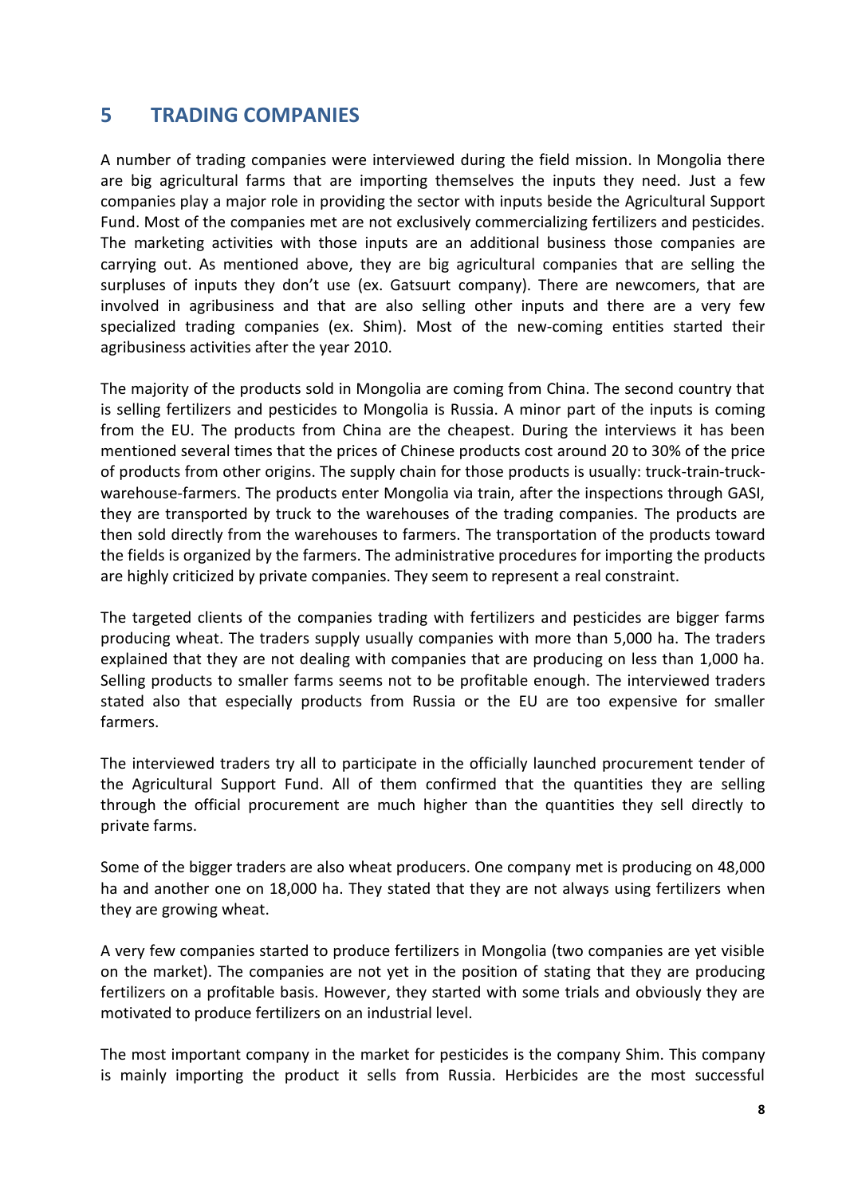### <span id="page-10-0"></span>**5 TRADING COMPANIES**

A number of trading companies were interviewed during the field mission. In Mongolia there are big agricultural farms that are importing themselves the inputs they need. Just a few companies play a major role in providing the sector with inputs beside the Agricultural Support Fund. Most of the companies met are not exclusively commercializing fertilizers and pesticides. The marketing activities with those inputs are an additional business those companies are carrying out. As mentioned above, they are big agricultural companies that are selling the surpluses of inputs they don't use (ex. Gatsuurt company). There are newcomers, that are involved in agribusiness and that are also selling other inputs and there are a very few specialized trading companies (ex. Shim). Most of the new-coming entities started their agribusiness activities after the year 2010.

The majority of the products sold in Mongolia are coming from China. The second country that is selling fertilizers and pesticides to Mongolia is Russia. A minor part of the inputs is coming from the EU. The products from China are the cheapest. During the interviews it has been mentioned several times that the prices of Chinese products cost around 20 to 30% of the price of products from other origins. The supply chain for those products is usually: truck-train-truckwarehouse-farmers. The products enter Mongolia via train, after the inspections through GASI, they are transported by truck to the warehouses of the trading companies. The products are then sold directly from the warehouses to farmers. The transportation of the products toward the fields is organized by the farmers. The administrative procedures for importing the products are highly criticized by private companies. They seem to represent a real constraint.

The targeted clients of the companies trading with fertilizers and pesticides are bigger farms producing wheat. The traders supply usually companies with more than 5,000 ha. The traders explained that they are not dealing with companies that are producing on less than 1,000 ha. Selling products to smaller farms seems not to be profitable enough. The interviewed traders stated also that especially products from Russia or the EU are too expensive for smaller farmers.

The interviewed traders try all to participate in the officially launched procurement tender of the Agricultural Support Fund. All of them confirmed that the quantities they are selling through the official procurement are much higher than the quantities they sell directly to private farms.

Some of the bigger traders are also wheat producers. One company met is producing on 48,000 ha and another one on 18,000 ha. They stated that they are not always using fertilizers when they are growing wheat.

A very few companies started to produce fertilizers in Mongolia (two companies are yet visible on the market). The companies are not yet in the position of stating that they are producing fertilizers on a profitable basis. However, they started with some trials and obviously they are motivated to produce fertilizers on an industrial level.

The most important company in the market for pesticides is the company Shim. This company is mainly importing the product it sells from Russia. Herbicides are the most successful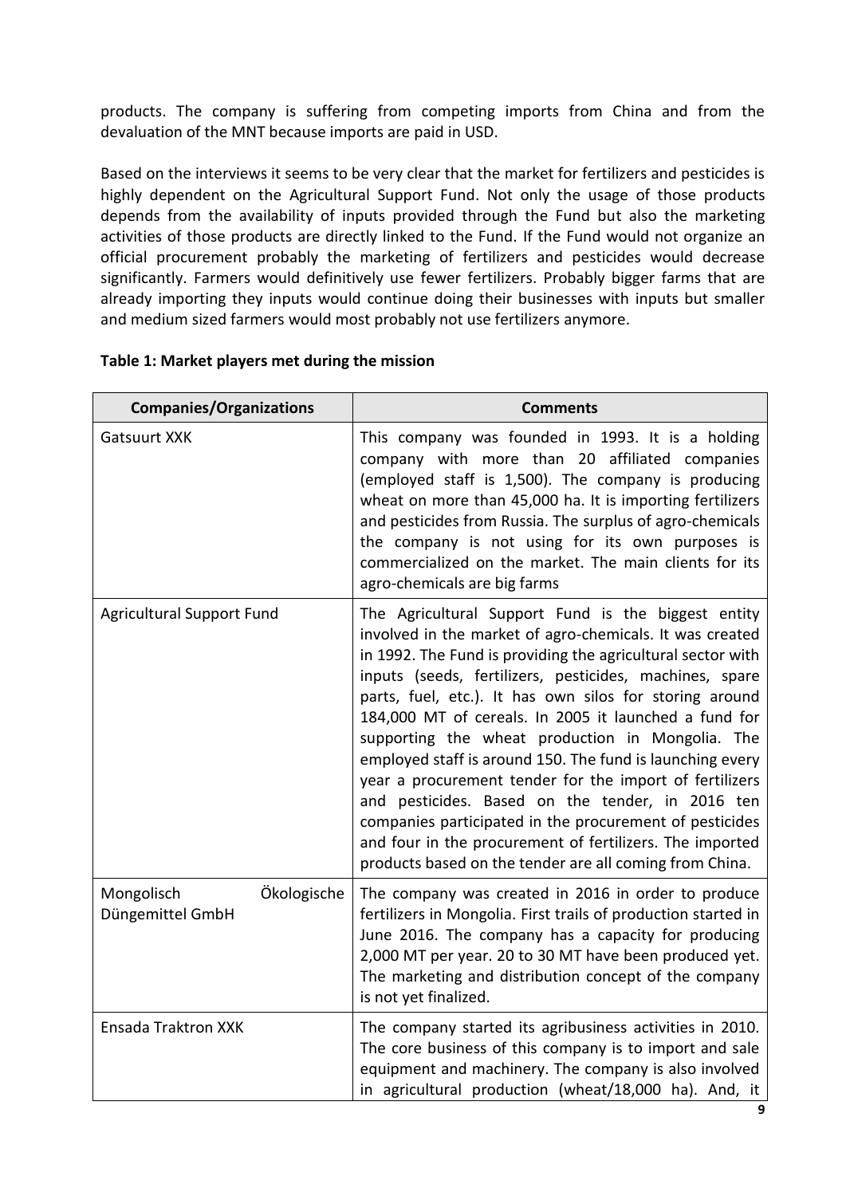products. The company is suffering from competing imports from China and from the devaluation of the MNT because imports are paid in USD.

Based on the interviews it seems to be very clear that the market for fertilizers and pesticides is highly dependent on the Agricultural Support Fund. Not only the usage of those products depends from the availability of inputs provided through the Fund but also the marketing activities of those products are directly linked to the Fund. If the Fund would not organize an official procurement probably the marketing of fertilizers and pesticides would decrease significantly. Farmers would definitively use fewer fertilizers. Probably bigger farms that are already importing they inputs would continue doing their businesses with inputs but smaller and medium sized farmers would most probably not use fertilizers anymore.

| <b>Companies/Organizations</b>                | <b>Comments</b>                                                                                                                                                                                                                                                                                                                                                                                                                                                                                                                                                                                                                                                                                                                                                                 |
|-----------------------------------------------|---------------------------------------------------------------------------------------------------------------------------------------------------------------------------------------------------------------------------------------------------------------------------------------------------------------------------------------------------------------------------------------------------------------------------------------------------------------------------------------------------------------------------------------------------------------------------------------------------------------------------------------------------------------------------------------------------------------------------------------------------------------------------------|
| <b>Gatsuurt XXK</b>                           | This company was founded in 1993. It is a holding<br>company with more than 20 affiliated companies<br>(employed staff is 1,500). The company is producing<br>wheat on more than 45,000 ha. It is importing fertilizers<br>and pesticides from Russia. The surplus of agro-chemicals<br>the company is not using for its own purposes is<br>commercialized on the market. The main clients for its<br>agro-chemicals are big farms                                                                                                                                                                                                                                                                                                                                              |
| <b>Agricultural Support Fund</b>              | The Agricultural Support Fund is the biggest entity<br>involved in the market of agro-chemicals. It was created<br>in 1992. The Fund is providing the agricultural sector with<br>inputs (seeds, fertilizers, pesticides, machines, spare<br>parts, fuel, etc.). It has own silos for storing around<br>184,000 MT of cereals. In 2005 it launched a fund for<br>supporting the wheat production in Mongolia. The<br>employed staff is around 150. The fund is launching every<br>year a procurement tender for the import of fertilizers<br>and pesticides. Based on the tender, in 2016 ten<br>companies participated in the procurement of pesticides<br>and four in the procurement of fertilizers. The imported<br>products based on the tender are all coming from China. |
| Ökologische<br>Mongolisch<br>Düngemittel GmbH | The company was created in 2016 in order to produce<br>fertilizers in Mongolia. First trails of production started in<br>June 2016. The company has a capacity for producing<br>2,000 MT per year. 20 to 30 MT have been produced yet.<br>The marketing and distribution concept of the company<br>is not yet finalized.                                                                                                                                                                                                                                                                                                                                                                                                                                                        |
| Ensada Traktron XXK                           | The company started its agribusiness activities in 2010.<br>The core business of this company is to import and sale<br>equipment and machinery. The company is also involved<br>in agricultural production (wheat/18,000 ha). And, it                                                                                                                                                                                                                                                                                                                                                                                                                                                                                                                                           |

#### **Table 1: Market players met during the mission**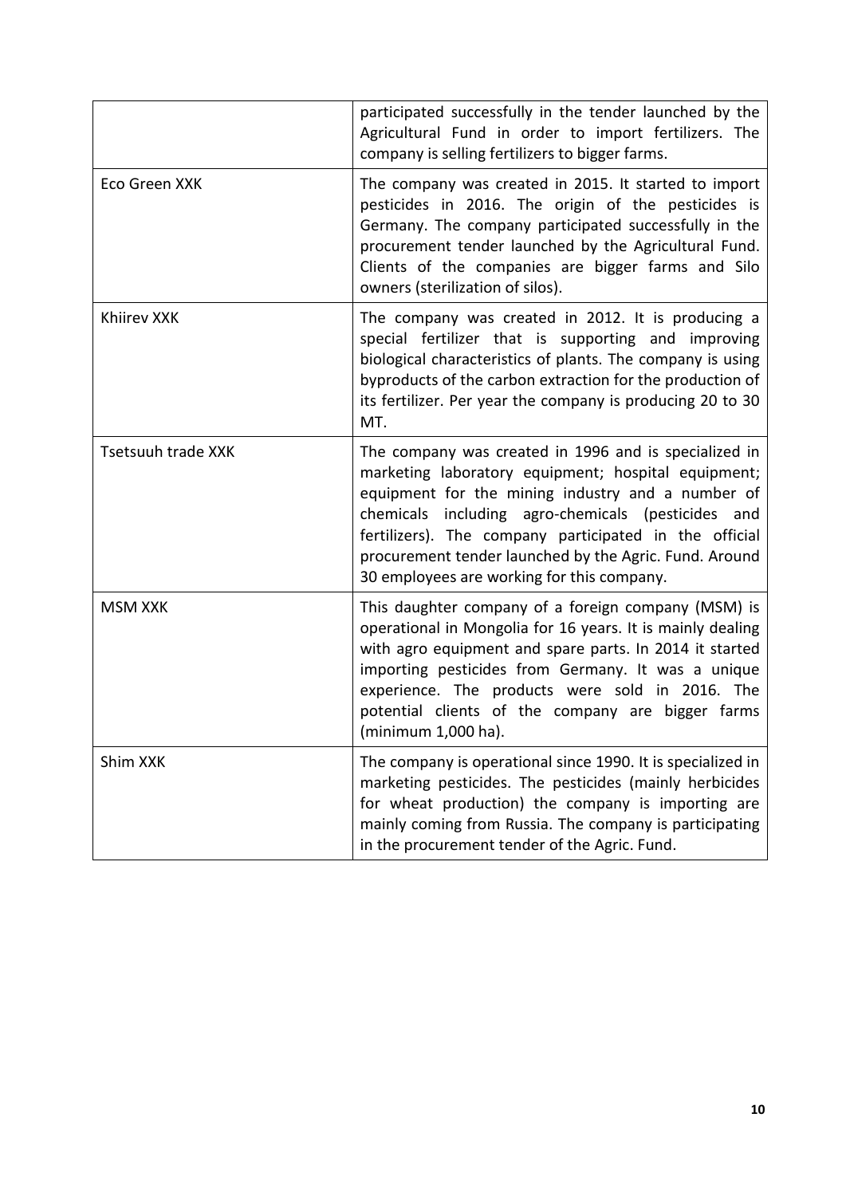|                    | participated successfully in the tender launched by the<br>Agricultural Fund in order to import fertilizers. The<br>company is selling fertilizers to bigger farms.                                                                                                                                                                                                                       |
|--------------------|-------------------------------------------------------------------------------------------------------------------------------------------------------------------------------------------------------------------------------------------------------------------------------------------------------------------------------------------------------------------------------------------|
| Eco Green XXK      | The company was created in 2015. It started to import<br>pesticides in 2016. The origin of the pesticides is<br>Germany. The company participated successfully in the<br>procurement tender launched by the Agricultural Fund.<br>Clients of the companies are bigger farms and Silo<br>owners (sterilization of silos).                                                                  |
| Khiirev XXK        | The company was created in 2012. It is producing a<br>special fertilizer that is supporting and improving<br>biological characteristics of plants. The company is using<br>byproducts of the carbon extraction for the production of<br>its fertilizer. Per year the company is producing 20 to 30<br>MT.                                                                                 |
| Tsetsuuh trade XXK | The company was created in 1996 and is specialized in<br>marketing laboratory equipment; hospital equipment;<br>equipment for the mining industry and a number of<br>chemicals including agro-chemicals (pesticides and<br>fertilizers). The company participated in the official<br>procurement tender launched by the Agric. Fund. Around<br>30 employees are working for this company. |
| <b>MSM XXK</b>     | This daughter company of a foreign company (MSM) is<br>operational in Mongolia for 16 years. It is mainly dealing<br>with agro equipment and spare parts. In 2014 it started<br>importing pesticides from Germany. It was a unique<br>experience. The products were sold in 2016. The<br>potential clients of the company are bigger farms<br>(minimum 1,000 ha).                         |
| Shim XXK           | The company is operational since 1990. It is specialized in<br>marketing pesticides. The pesticides (mainly herbicides<br>for wheat production) the company is importing are<br>mainly coming from Russia. The company is participating<br>in the procurement tender of the Agric. Fund.                                                                                                  |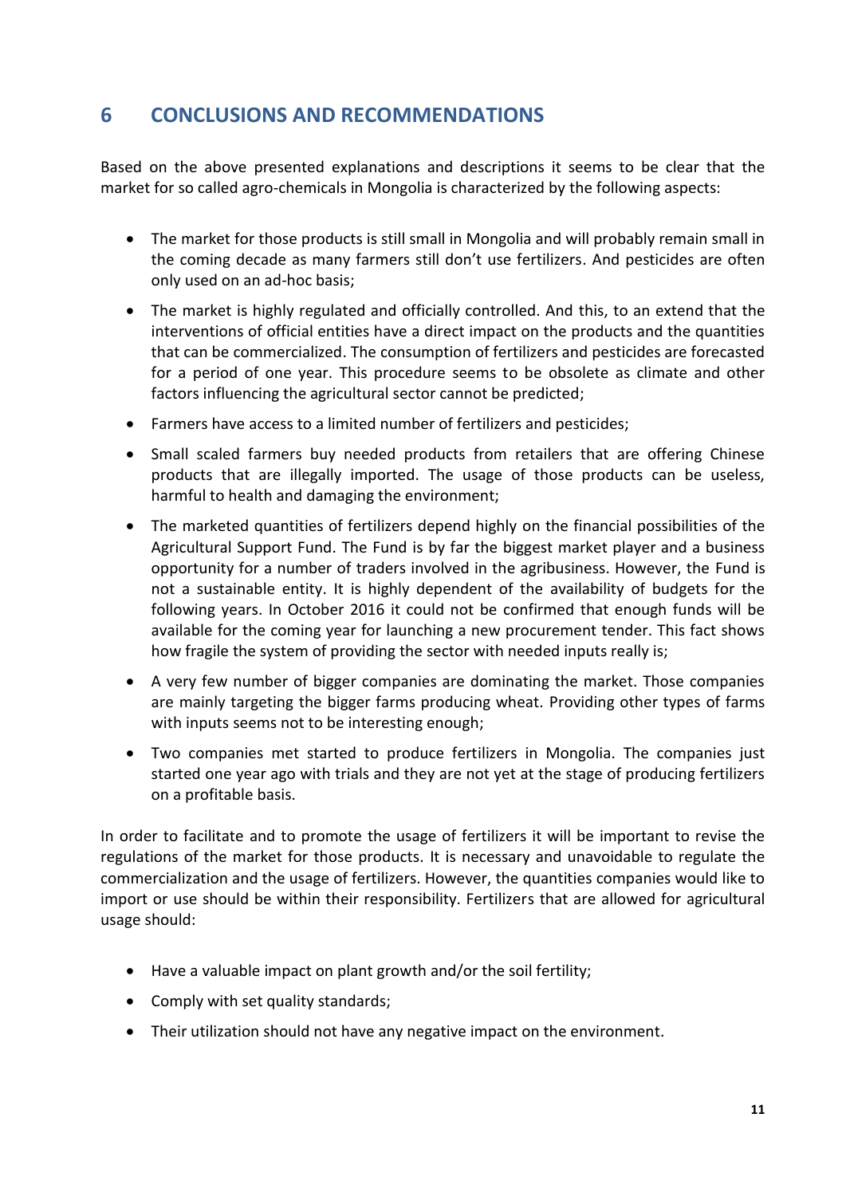## <span id="page-13-0"></span>**6 CONCLUSIONS AND RECOMMENDATIONS**

Based on the above presented explanations and descriptions it seems to be clear that the market for so called agro-chemicals in Mongolia is characterized by the following aspects:

- The market for those products is still small in Mongolia and will probably remain small in the coming decade as many farmers still don't use fertilizers. And pesticides are often only used on an ad-hoc basis;
- The market is highly regulated and officially controlled. And this, to an extend that the interventions of official entities have a direct impact on the products and the quantities that can be commercialized. The consumption of fertilizers and pesticides are forecasted for a period of one year. This procedure seems to be obsolete as climate and other factors influencing the agricultural sector cannot be predicted;
- Farmers have access to a limited number of fertilizers and pesticides;
- Small scaled farmers buy needed products from retailers that are offering Chinese products that are illegally imported. The usage of those products can be useless, harmful to health and damaging the environment;
- The marketed quantities of fertilizers depend highly on the financial possibilities of the Agricultural Support Fund. The Fund is by far the biggest market player and a business opportunity for a number of traders involved in the agribusiness. However, the Fund is not a sustainable entity. It is highly dependent of the availability of budgets for the following years. In October 2016 it could not be confirmed that enough funds will be available for the coming year for launching a new procurement tender. This fact shows how fragile the system of providing the sector with needed inputs really is;
- A very few number of bigger companies are dominating the market. Those companies are mainly targeting the bigger farms producing wheat. Providing other types of farms with inputs seems not to be interesting enough;
- Two companies met started to produce fertilizers in Mongolia. The companies just started one year ago with trials and they are not yet at the stage of producing fertilizers on a profitable basis.

In order to facilitate and to promote the usage of fertilizers it will be important to revise the regulations of the market for those products. It is necessary and unavoidable to regulate the commercialization and the usage of fertilizers. However, the quantities companies would like to import or use should be within their responsibility. Fertilizers that are allowed for agricultural usage should:

- Have a valuable impact on plant growth and/or the soil fertility;
- Comply with set quality standards;
- Their utilization should not have any negative impact on the environment.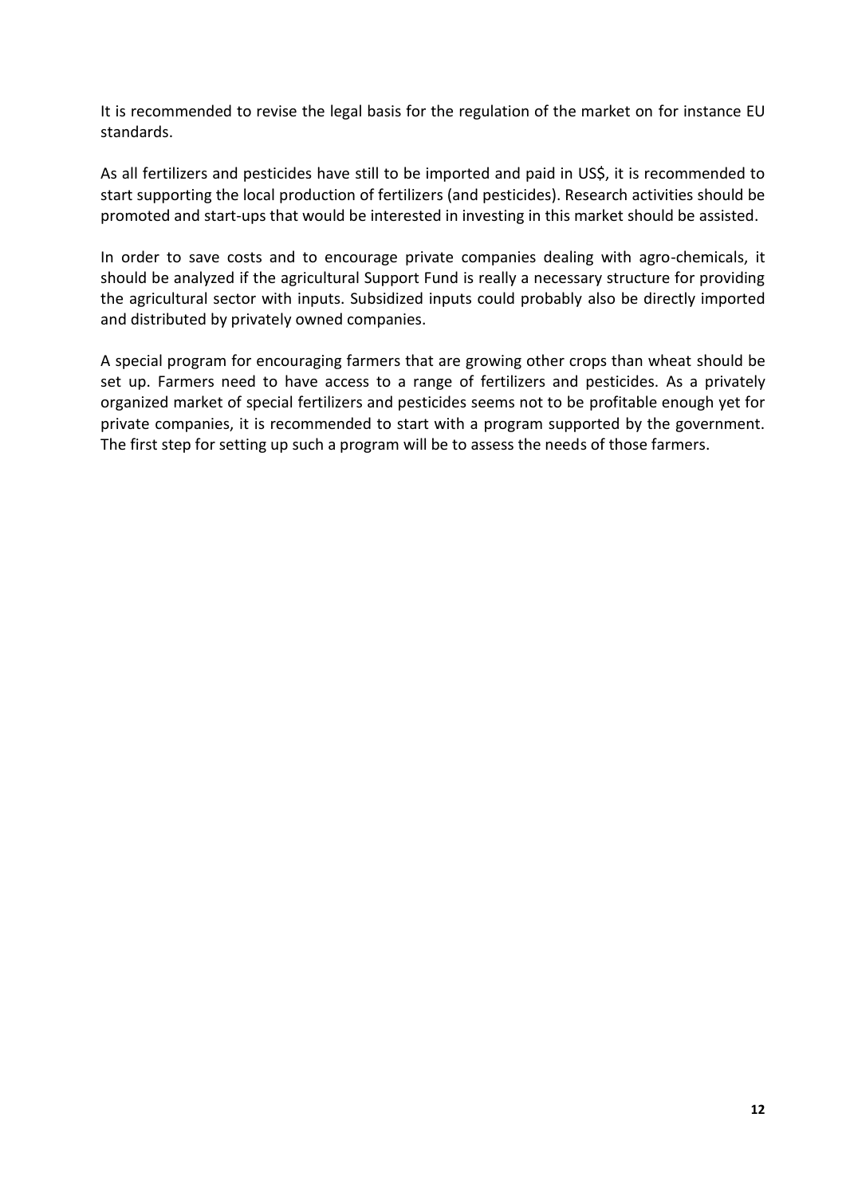It is recommended to revise the legal basis for the regulation of the market on for instance EU standards.

As all fertilizers and pesticides have still to be imported and paid in US\$, it is recommended to start supporting the local production of fertilizers (and pesticides). Research activities should be promoted and start-ups that would be interested in investing in this market should be assisted.

In order to save costs and to encourage private companies dealing with agro-chemicals, it should be analyzed if the agricultural Support Fund is really a necessary structure for providing the agricultural sector with inputs. Subsidized inputs could probably also be directly imported and distributed by privately owned companies.

A special program for encouraging farmers that are growing other crops than wheat should be set up. Farmers need to have access to a range of fertilizers and pesticides. As a privately organized market of special fertilizers and pesticides seems not to be profitable enough yet for private companies, it is recommended to start with a program supported by the government. The first step for setting up such a program will be to assess the needs of those farmers.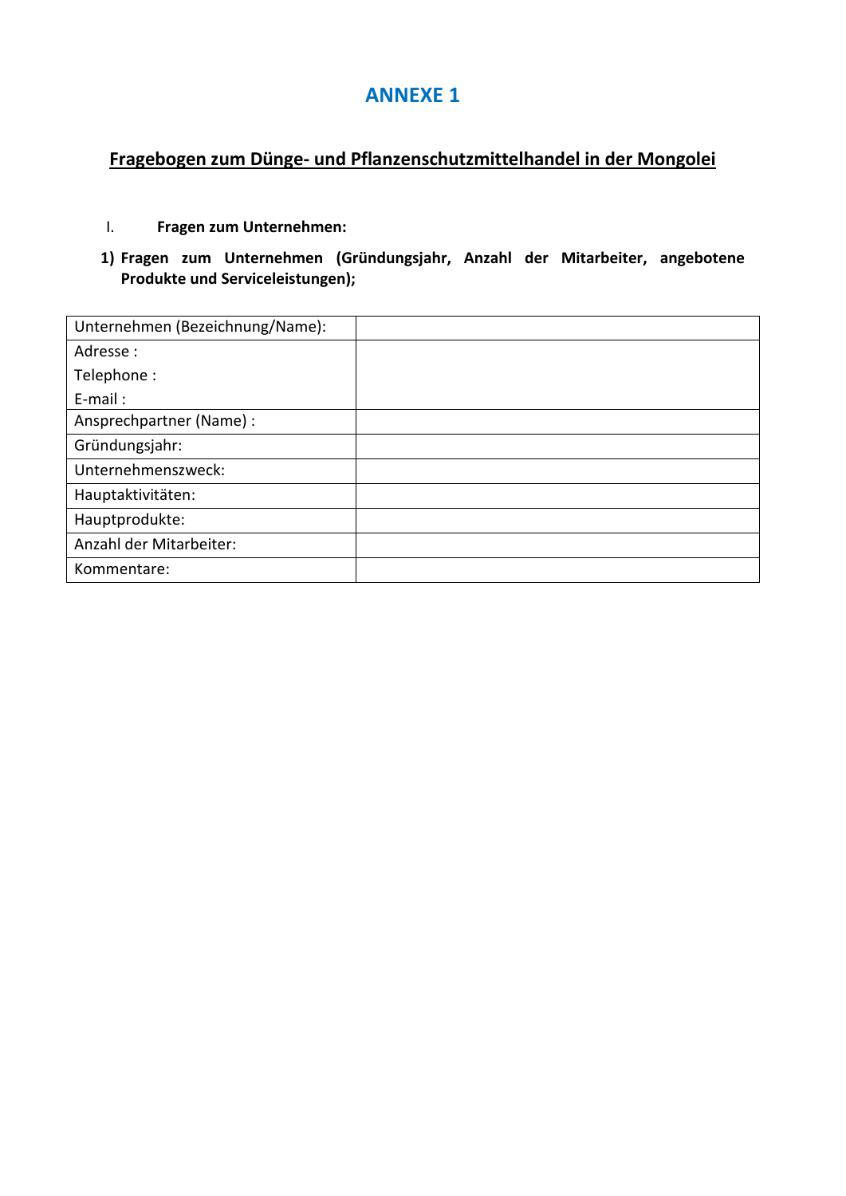### **ANNEXE 1**

# **Fragebogen zum Dünge- und Pflanzenschutzmittelhandel in der Mongolei**

#### I. **Fragen zum Unternehmen:**

**1) Fragen zum Unternehmen (Gründungsjahr, Anzahl der Mitarbeiter, angebotene Produkte und Serviceleistungen);**

| Unternehmen (Bezeichnung/Name): |  |
|---------------------------------|--|
| Adresse:                        |  |
| Telephone:                      |  |
| $E$ -mail:                      |  |
| Ansprechpartner (Name) :        |  |
| Gründungsjahr:                  |  |
| Unternehmenszweck:              |  |
| Hauptaktivitäten:               |  |
| Hauptprodukte:                  |  |
| Anzahl der Mitarbeiter:         |  |
| Kommentare:                     |  |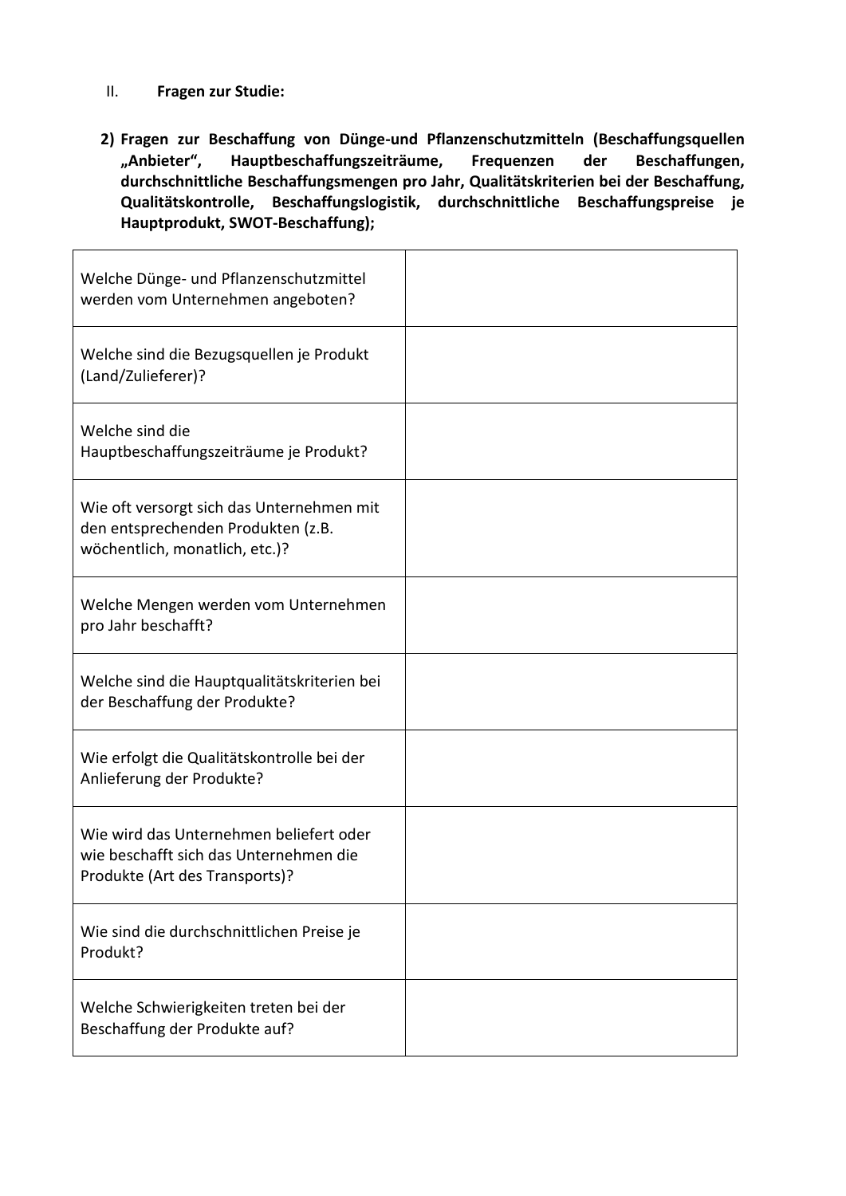#### II. **Fragen zur Studie:**

**2) Fragen zur Beschaffung von Dünge-und Pflanzenschutzmitteln (Beschaffungsquellen "Anbieter", Hauptbeschaffungszeiträume, Frequenzen der Beschaffungen, durchschnittliche Beschaffungsmengen pro Jahr, Qualitätskriterien bei der Beschaffung, Qualitätskontrolle, Beschaffungslogistik, durchschnittliche Beschaffungspreise je Hauptprodukt, SWOT-Beschaffung);**

| Welche Dünge- und Pflanzenschutzmittel<br>werden vom Unternehmen angeboten?                                         |  |
|---------------------------------------------------------------------------------------------------------------------|--|
| Welche sind die Bezugsquellen je Produkt<br>(Land/Zulieferer)?                                                      |  |
| Welche sind die<br>Hauptbeschaffungszeiträume je Produkt?                                                           |  |
| Wie oft versorgt sich das Unternehmen mit<br>den entsprechenden Produkten (z.B.<br>wöchentlich, monatlich, etc.)?   |  |
| Welche Mengen werden vom Unternehmen<br>pro Jahr beschafft?                                                         |  |
| Welche sind die Hauptqualitätskriterien bei<br>der Beschaffung der Produkte?                                        |  |
| Wie erfolgt die Qualitätskontrolle bei der<br>Anlieferung der Produkte?                                             |  |
| Wie wird das Unternehmen beliefert oder<br>wie beschafft sich das Unternehmen die<br>Produkte (Art des Transports)? |  |
| Wie sind die durchschnittlichen Preise je<br>Produkt?                                                               |  |
| Welche Schwierigkeiten treten bei der<br>Beschaffung der Produkte auf?                                              |  |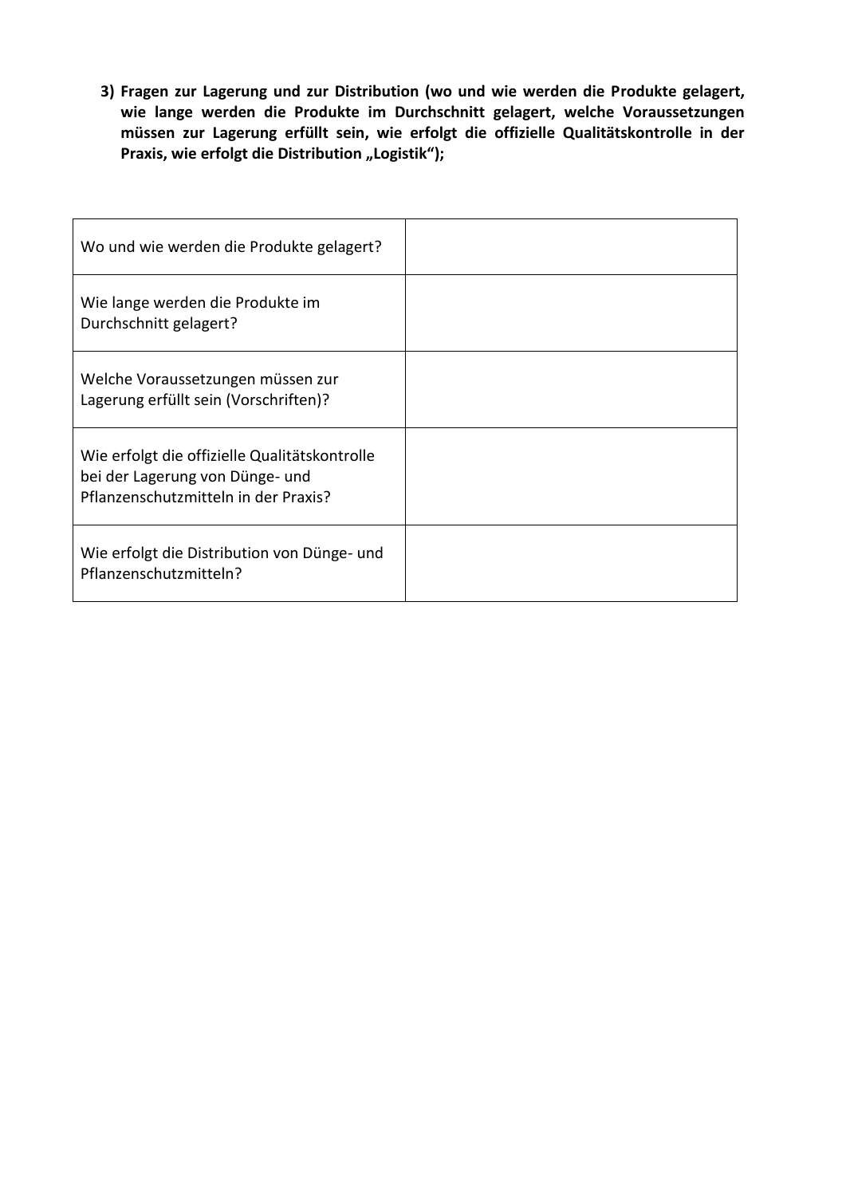**3) Fragen zur Lagerung und zur Distribution (wo und wie werden die Produkte gelagert, wie lange werden die Produkte im Durchschnitt gelagert, welche Voraussetzungen müssen zur Lagerung erfüllt sein, wie erfolgt die offizielle Qualitätskontrolle in der**  Praxis, wie erfolgt die Distribution "Logistik");

| Wo und wie werden die Produkte gelagert?                                                                                 |  |
|--------------------------------------------------------------------------------------------------------------------------|--|
| Wie lange werden die Produkte im<br>Durchschnitt gelagert?                                                               |  |
| Welche Voraussetzungen müssen zur<br>Lagerung erfüllt sein (Vorschriften)?                                               |  |
| Wie erfolgt die offizielle Qualitätskontrolle<br>bei der Lagerung von Dünge- und<br>Pflanzenschutzmitteln in der Praxis? |  |
| Wie erfolgt die Distribution von Dünge- und<br>Pflanzenschutzmitteln?                                                    |  |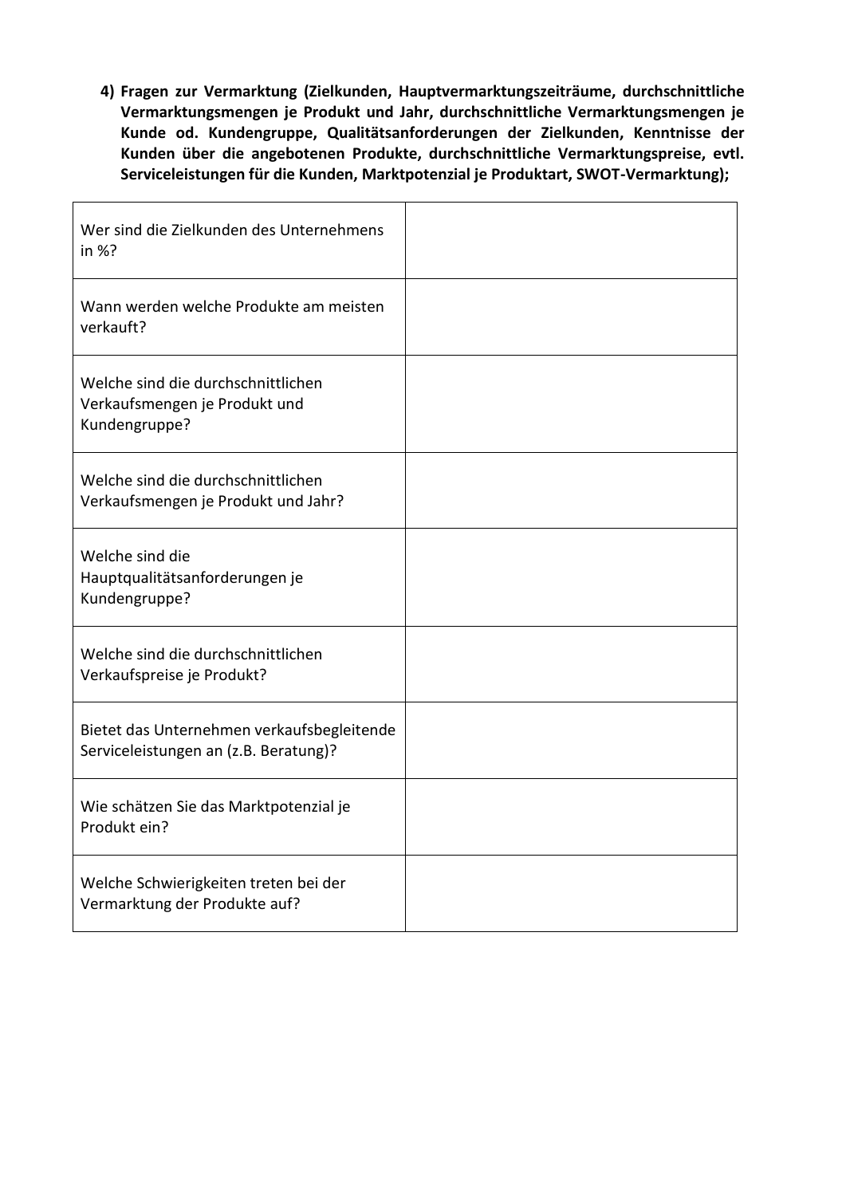**4) Fragen zur Vermarktung (Zielkunden, Hauptvermarktungszeiträume, durchschnittliche Vermarktungsmengen je Produkt und Jahr, durchschnittliche Vermarktungsmengen je Kunde od. Kundengruppe, Qualitätsanforderungen der Zielkunden, Kenntnisse der Kunden über die angebotenen Produkte, durchschnittliche Vermarktungspreise, evtl. Serviceleistungen für die Kunden, Marktpotenzial je Produktart, SWOT-Vermarktung);**

| Wer sind die Zielkunden des Unternehmens<br>in $%?$                                  |  |
|--------------------------------------------------------------------------------------|--|
| Wann werden welche Produkte am meisten<br>verkauft?                                  |  |
| Welche sind die durchschnittlichen<br>Verkaufsmengen je Produkt und<br>Kundengruppe? |  |
| Welche sind die durchschnittlichen<br>Verkaufsmengen je Produkt und Jahr?            |  |
| Welche sind die<br>Hauptqualitätsanforderungen je<br>Kundengruppe?                   |  |
| Welche sind die durchschnittlichen<br>Verkaufspreise je Produkt?                     |  |
| Bietet das Unternehmen verkaufsbegleitende<br>Serviceleistungen an (z.B. Beratung)?  |  |
| Wie schätzen Sie das Marktpotenzial je<br>Produkt ein?                               |  |
| Welche Schwierigkeiten treten bei der<br>Vermarktung der Produkte auf?               |  |